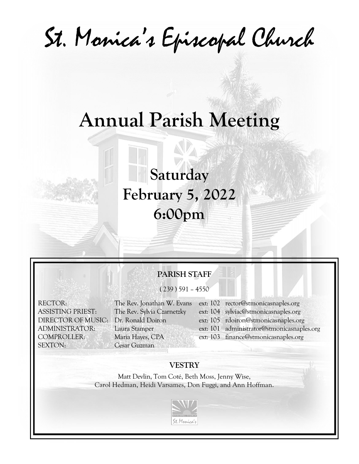St. Monica's Episcopal Church

# **Annual Parish Meeting**

**Saturday February 5, 2022 6:00pm**

# **PARISH STAFF**

 $(239) 591 - 4550$ 

SEXTON: Cesar Guzman

COMPROLLER: Maria Hayes, CPA ext: 103 finance@stmonicasnaples.org

- RECTOR: The Rev. Jonathan W. Evans ext: 102 rector@stmonicasnaples.org
- ASSISTING PRIEST: The Rev. Sylvia Czarnetzky ext: 104 sylviac@stmonicasnaples.org
- DIRECTOR OF MUSIC: Dr. Ronald Doiron ext: 105 rdoiron@stmonicasnaples.org
- ADMINISTRATOR: Laura Stamper ext: 101 administrator@stmonicasnaples.org
	-

# **VESTRY**

Matt Devlin, Tom Coté, Beth Moss, Jenny Wise, Carol Hedman, Heidi Varsames, Don Fuggi, and Ann Hoffman.

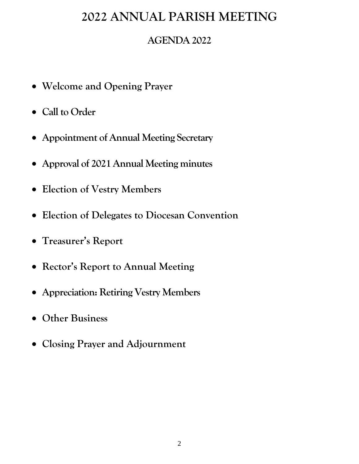# **AGENDA 2022**

- **Welcome and Opening Prayer**
- **Call to Order**
- **Appointment of Annual Meeting Secretary**
- **Approval of 2021 Annual Meeting minutes**
- **Election of Vestry Members**
- **Election of Delegates to Diocesan Convention**
- **Treasurer's Report**
- **Rector's Report to Annual Meeting**
- **Appreciation: Retiring Vestry Members**
- **Other Business**
- **Closing Prayer and Adjournment**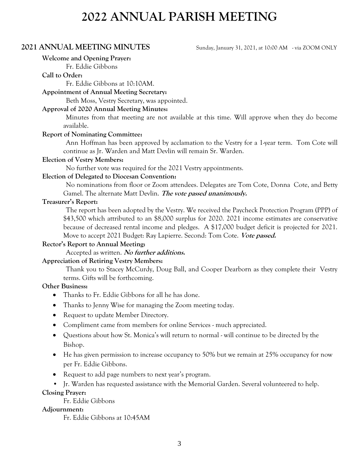# **2021 ANNUAL MEETING MINUTES** Sunday, January 31, 2021, at 10:00 AM - via ZOOM ONLY

**Welcome and Opening Prayer:**

Fr. Eddie Gibbons

# **Call to Order:**

Fr. Eddie Gibbons at 10:10AM.

## **Appointment of Annual Meeting Secretary:**

Beth Moss, Vestry Secretary, was appointed.

## **Approval of 2020 Annual Meeting Minutes:**

Minutes from that meeting are not available at this time. Will approve when they do become available.

## **Report of Nominating Committee:**

Ann Hoffman has been approved by acclamation to the Vestry for a 1-year term. Tom Cote will continue as Jr. Warden and Matt Devlin will remain Sr. Warden.

## **Election of Vestry Members:**

No further vote was required for the 2021 Vestry appointments.

## **Election of Delegated to Diocesan Convention:**

No nominations from floor or Zoom attendees. Delegates are Tom Cote, Donna Cote, and Betty Gamel. The alternate Matt Devlin. **The vote passed unanimously.**

## **Treasurer's Report:**

The report has been adopted by the Vestry. We received the Paycheck Protection Program (PPP) of \$43,500 which attributed to an \$8,000 surplus for 2020. 2021 income estimates are conservative because of decreased rental income and pledges. A \$17,000 budget deficit is projected for 2021. Move to accept 2021 Budget: Ray Lapierre. Second: Tom Cote. **Vote passed.**

# **Rector's Report to Annual Meeting:**

Accepted as written. **No further additions.**

# **Appreciation of Retiring Vestry Members:**

Thank you to Stacey McCurdy, Doug Ball, and Cooper Dearborn as they complete their Vestry terms. Gifts will be forthcoming.

### **Other Business:**

- Thanks to Fr. Eddie Gibbons for all he has done.
- Thanks to Jenny Wise for managing the Zoom meeting today.
- Request to update Member Directory.
- Compliment came from members for online Services much appreciated.
- Questions about how St. Monica's will return to normal will continue to be directed by the Bishop.
- He has given permission to increase occupancy to 50% but we remain at 25% occupancy for now per Fr. Eddie Gibbons.
- Request to add page numbers to next year's program.
- Jr. Warden has requested assistance with the Memorial Garden. Several volunteered to help.

# **Closing Prayer:**

Fr. Eddie Gibbons

# **Adjournment:**

Fr. Eddie Gibbons at 10:45AM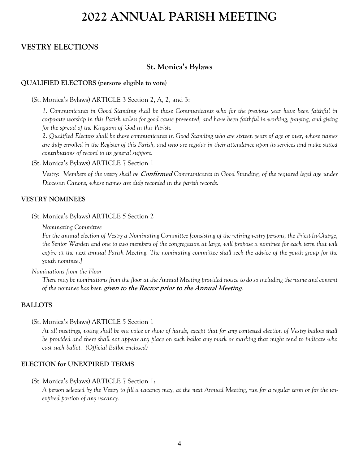# **VESTRY ELECTIONS**

# **St. Monica's Bylaws**

## **QUALIFIED ELECTORS (persons eligible to vote)**

## (St. Monica's Bylaws) ARTICLE 3 Section 2, A, 2, and 3:

*1. Communicants in Good Standing shall be those Communicants who for the previous year have been faithful in corporate worship in this Parish unless for good cause prevented, and have been faithful in working, praying, and giving for the spread of the Kingdom of God in this Parish.*

*2. Qualified Electors shall be those communicants in Good Standing who are sixteen years of age or over, whose names are duly enrolled in the Register of this Parish, and who are regular in their attendance upon its services and make stated contributions of record to its general support.*

### (St. Monica's Bylaws) ARTICLE 7 Section 1

*Vestry: Members of the vestry shall be* **Confirmed** *Communicants in Good Standing, of the required legal age under Diocesan Canons, whose names are duly recorded in the parish records.*

### **VESTRY NOMINEES**

### (St. Monica's Bylaws) ARTICLE 5 Section 2

*Nominating Committee*

*For the annual election of Vestry a Nominating Committee [consisting of the retiring vestry persons, the Priest-In-Charge, the Senior Warden and one to two members of the congregation at large, will propose a nominee for each term that will expire at the next annual Parish Meeting. The nominating committee shall seek the advice of the youth group for the youth nominee.]* 

*Nominations from the Floor*

*There may be nominations from the floor at the Annual Meeting provided notice to do so including the name and consent of the nominee has been* **given to the Rector prior to the Annual Meeting***.* 

### **BALLOTS**

### (St. Monica's Bylaws) ARTICLE 5 Section 1

*At all meetings, voting shall be via voice or show of hands, except that for any contested election of Vestry ballots shall be provided and there shall not appear any place on such ballot any mark or marking that might tend to indicate who cast such ballot. (Official Ballot enclosed)*

## **ELECTION for UNEXPIRED TERMS**

### (St. Monica's Bylaws) ARTICLE 7 Section 1:

*A person selected by the Vestry to fill a vacancy may, at the next Annual Meeting, run for a regular term or for the unexpired portion of any vacancy.*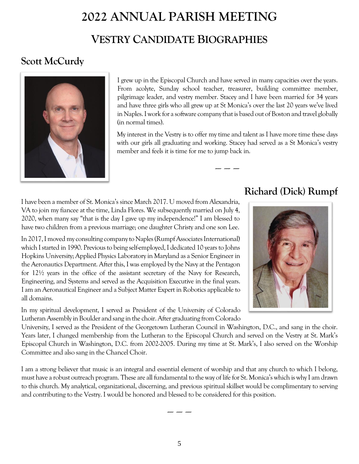# **2022 ANNUAL PARISH MEETING VESTRY CANDIDATE BIOGRAPHIES**

# **Scott McCurdy**



I grew up in the Episcopal Church and have served in many capacities over the years. From acolyte, Sunday school teacher, treasurer, building committee member, pilgrimage leader, and vestry member. Stacey and I have been married for 34 years and have three girls who all grew up at St Monica's over the last 20 years we've lived in Naples. I work for a software company that is based out of Boston and travel globally (in normal times).

My interest in the Vestry is to offer my time and talent as I have more time these days with our girls all graduating and working. Stacey had served as a St Monica's vestry member and feels it is time for me to jump back in.

----- ----- -----

I have been a member of St. Monica's since March 2017. U moved from Alexandria, VA to join my fiancee at the time, Linda Flores. We subsequently married on July 4, 2020, when many say "that is the day I gave up my independence!" I am blessed to have two children from a previous marriage; one daughter Christy and one son Lee.

In 2017, I moved my consulting company to Naples (Rumpf Associates International) which I started in 1990. Previous to being self-employed, I dedicated 10 years to Johns Hopkins University; Applied Physics Laboratory in Maryland as a Senior Engineer in the Aeronautics Department. After this, I was employed by the Navy at the Pentagon for 12½ years in the office of the assistant secretary of the Navy for Research, Engineering, and Systems and served as the Acquisition Executive in the final years. I am an Aeronautical Engineer and a Subject Matter Expert in Robotics applicable to all domains.

In my spiritual development, I served as President of the University of Colorado Lutheran Assembly in Boulder and sang in the choir. After graduating from Colorado

# **Richard (Dick) Rumpf**



University, I served as the President of the Georgetown Lutheran Council in Washington, D.C., and sang in the choir. Years later, I changed membership from the Lutheran to the Episcopal Church and served on the Vestry at St. Mark's Episcopal Church in Washington, D.C. from 2002-2005. During my time at St. Mark's, I also served on the Worship Committee and also sang in the Chancel Choir.

I am a strong believer that music is an integral and essential element of worship and that any church to which I belong, must have a robust outreach program. These are all fundamental to the way of life for St. Monica's which is why I am drawn to this church. My analytical, organizational, discerning, and previous spiritual skillset would be complimentary to serving and contributing to the Vestry. I would be honored and blessed to be considered for this position.

----- ----- -----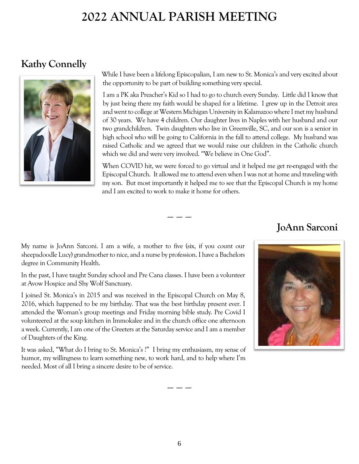# **Kathy Connelly**



While I have been a lifelong Episcopalian, I am new to St. Monica's and very excited about the opportunity to be part of building something very special.

I am a PK aka Preacher's Kid so I had to go to church every Sunday. Little did I know that by just being there my faith would be shaped for a lifetime. I grew up in the Detroit area and went to college at Western Michigan University in Kalamazoo where I met my husband of 30 years. We have 4 children. Our daughter lives in Naples with her husband and our two grandchildren. Twin daughters who live in Greenville, SC, and our son is a senior in high school who will be going to California in the fall to attend college. My husband was raised Catholic and we agreed that we would raise our children in the Catholic church which we did and were very involved. "We believe in One God".

When COVID hit, we were forced to go virtual and it helped me get re-engaged with the Episcopal Church. It allowed me to attend even when I was not at home and traveling with my son. But most importantly it helped me to see that the Episcopal Church is my home and I am excited to work to make it home for others.

# **JoAnn Sarconi**

My name is JoAnn Sarconi. I am a wife, a mother to five (six, if you count our sheepadoodle Lucy) grandmother to nice, and a nurse by profession. I have a Bachelors degree in Community Health.

In the past, I have taught Sunday school and Pre Cana classes. I have been a volunteer at Avow Hospice and Shy Wolf Sanctuary.

I joined St. Monica's in 2015 and was received in the Episcopal Church on May 8, 2016, which happened to be my birthday. That was the best birthday present ever. I attended the Woman's group meetings and Friday morning bible study. Pre Covid I volunteered at the soup kitchen in Immokalee and in the church office one afternoon a week. Currently, I am one of the Greeters at the Saturday service and I am a member of Daughters of the King.

It was asked, "What do I bring to St. Monica's ?" I bring my enthusiasm, my sense of humor, my willingness to learn something new, to work hard, and to help where I'm needed. Most of all I bring a sincere desire to be of service.



----- ----- -----

----- ----- -----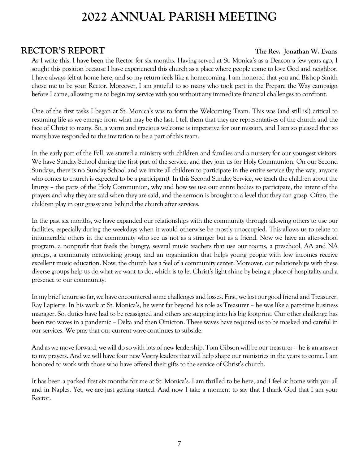# **RECTOR'S REPORT The Rev. Jonathan W. Evans**

As I write this, I have been the Rector for six months. Having served at St. Monica's as a Deacon a few years ago, I sought this position because I have experienced this church as a place where people come to love God and neighbor. I have always felt at home here, and so my return feels like a homecoming. I am honored that you and Bishop Smith chose me to be your Rector. Moreover, I am grateful to so many who took part in the Prepare the Way campaign before I came, allowing me to begin my service with you without any immediate financial challenges to confront.

One of the first tasks I began at St. Monica's was to form the Welcoming Team. This was (and still is!) critical to resuming life as we emerge from what may be the last. I tell them that they are representatives of the church and the face of Christ to many. So, a warm and gracious welcome is imperative for our mission, and I am so pleased that so many have responded to the invitation to be a part of this team.

In the early part of the Fall, we started a ministry with children and families and a nursery for our youngest visitors. We have Sunday School during the first part of the service, and they join us for Holy Communion. On our Second Sundays, there is no Sunday School and we invite all children to participate in the entire service (by the way, anyone who comes to church is expected to be a participant). In this Second Sunday Service, we teach the children about the liturgy – the parts of the Holy Communion, why and how we use our entire bodies to participate, the intent of the prayers and why they are said when they are said, and the sermon is brought to a level that they can grasp. Often, the children play in our grassy area behind the church after services.

In the past six months, we have expanded our relationships with the community through allowing others to use our facilities, especially during the weekdays when it would otherwise be mostly unoccupied. This allows us to relate to innumerable others in the community who see us not as a stranger but as a friend. Now we have an after-school program, a nonprofit that feeds the hungry, several music teachers that use our rooms, a preschool, AA and NA groups, a community networking group, and an organization that helps young people with low incomes receive excellent music education. Now, the church has a feel of a community center. Moreover, our relationships with these diverse groups help us do what we want to do, which is to let Christ's light shine by being a place of hospitality and a presence to our community.

In my brief tenure so far, we have encountered some challenges and losses. First, we lost our good friend and Treasurer, Ray Lapierre. In his work at St. Monica's, he went far beyond his role as Treasurer – he was like a part-time business manager. So, duties have had to be reassigned and others are stepping into his big footprint. Our other challenge has been two waves in a pandemic – Delta and then Omicron. These waves have required us to be masked and careful in our services. We pray that our current wave continues to subside.

And as we move forward, we will do so with lots of new leadership. Tom Gibson will be our treasurer – he is an answer to my prayers. And we will have four new Vestry leaders that will help shape our ministries in the years to come. I am honored to work with those who have offered their gifts to the service of Christ's church.

It has been a packed first six months for me at St. Monica's. I am thrilled to be here, and I feel at home with you all and in Naples. Yet, we are just getting started. And now I take a moment to say that I thank God that I am your Rector.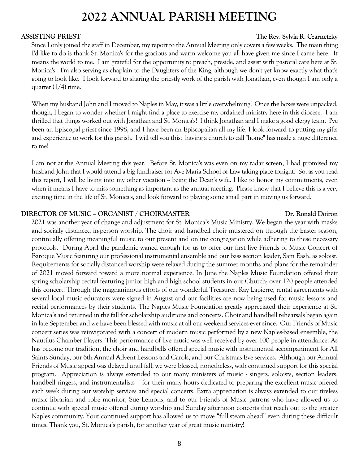# **ASSISTING PRIEST The Rev. Sylvia R. Czarnetzky**

Since I only joined the staff in December, my report to the Annual Meeting only covers a few weeks. The main thing I'd like to do is thank St. Monica's for the gracious and warm welcome you all have given me since I came here. It means the world to me. I am grateful for the opportunity to preach, preside, and assist with pastoral care here at St. Monica's. I'm also serving as chaplain to the Daughters of the King, although we don't yet know exactly what that's going to look like. I look forward to sharing the priestly work of the parish with Jonathan, even though I am only a quarter  $(1/4)$  time.

When my husband John and I moved to Naples in May, it was a little overwhelming! Once the boxes were unpacked, though, I began to wonder whether I might find a place to exercise my ordained ministry here in this diocese. I am thrilled that things worked out with Jonathan and St. Monica's! I think Jonathan and I make a good clergy team. I've been an Episcopal priest since 1998, and I have been an Episcopalian all my life. I look forward to putting my gifts and experience to work for this parish. I will tell you this: having a church to call "home" has made a huge difference to me!

I am not at the Annual Meeting this year. Before St. Monica's was even on my radar screen, I had promised my husband John that I would attend a big fundraiser for Ave Maria School of Law taking place tonight. So, as you read this report, I will be living into my other vocation  $\sim$  being the Dean's wife. I like to honor my commitments, even when it means I have to miss something as important as the annual meeting. Please know that I believe this is a very exciting time in the life of St. Monica's, and look forward to playing some small part in moving us forward.

# **DIRECTOR OF MUSIC - ORGANIST / CHOIRMASTER DR. Ronald Doiron**

2021 was another year of change and adjustment for St. Monica's Music Ministry. We began the year with masks and socially distanced in-person worship. The choir and handbell choir mustered on through the Easter season, continually offering meaningful music to our present and online congregation while adhering to these necessary protocols. During April the pandemic waned enough for us to offer our first live Friends of Music Concert of Baroque Music featuring our professional instrumental ensemble and our bass section leader, Sam Eash, as soloist. Requirements for socially distanced worship were relaxed during the summer months and plans for the remainder of 2021 moved forward toward a more normal experience. In June the Naples Music Foundation offered their spring scholarship recital featuring junior high and high school students in our Church; over 120 people attended this concert! Through the magnanimous efforts of our wonderful Treasurer, Ray Lapierre, rental agreements with several local music educators were signed in August and our facilities are now being used for music lessons and recital performances by their students. The Naples Music Foundation greatly appreciated their experience at St. Monica's and returned in the fall for scholarship auditions and concerts. Choir and handbell rehearsals began again in late September and we have been blessed with music at all our weekend services ever since. Our Friends of Music concert series was reinvigorated with a concert of modern music performed by a new Naples-based ensemble, the Nautilus Chamber Players. This performance of live music was well received by over 100 people in attendance. As has become our tradition, the choir and handbells offered special music with instrumental accompaniment for All Saints Sunday, our 6th Annual Advent Lessons and Carols, and our Christmas Eve services. Although our Annual Friends of Music appeal was delayed until fall, we were blessed, nonetheless, with continued support for this special program. Appreciation is always extended to our many ministers of music - singers, soloists, section leaders, handbell ringers, and instrumentalists – for their many hours dedicated to preparing the excellent music offered each week during our worship services and special concerts. Extra appreciation is always extended to our tireless music librarian and robe monitor, Sue Lemons, and to our Friends of Music patrons who have allowed us to continue with special music offered during worship and Sunday afternoon concerts that reach out to the greater Naples community. Your continued support has allowed us to move "full steam ahead" even during these difficult times. Thank you, St. Monica's parish, for another year of great music ministry!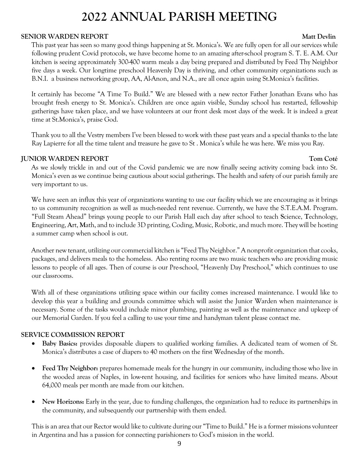# **SENIOR WARDEN REPORT Matt Deviation And Account of the Contract Oriental Account of the Matt Devlin**

This past year has seen so many good things happening at St. Monica's. We are fully open for all our services while following prudent Covid protocols, we have become home to an amazing after-school program S. T. E. A.M. Our kitchen is seeing approximately 300-400 warm meals a day being prepared and distributed by Feed Thy Neighbor five days a week. Our longtime preschool Heavenly Day is thriving, and other community organizations such as B.N.I. a business networking group, AA, Al-Anon, and N.A., are all once again using St.Monica's facilities.

It certainly has become "A Time To Build." We are blessed with a new rector Father Jonathan Evans who has brought fresh energy to St. Monica's. Children are once again visible, Sunday school has restarted, fellowship gatherings have taken place, and we have volunteers at our front desk most days of the week. It is indeed a great time at St.Monica's, praise God.

Thank you to all the Vestry members I've been blessed to work with these past years and a special thanks to the late Ray Lapierre for all the time talent and treasure he gave to St . Monica's while he was here. We miss you Ray.

# **IUNIOR WARDEN REPORT TOM CONSUMING THE SERVICE OF A SERVICE OF A SERVICE OF A SERVICE OF A SERVICE OF A SERVICE OF A SERVICE OF A SERVICE OF A SERVICE OF A SERVICE OF A SERVICE OF A SERVICE OF A SERVICE OF A SERVICE OF A**

As we slowly trickle in and out of the Covid pandemic we are now finally seeing activity coming back into St. Monica's even as we continue being cautious about social gatherings. The health and safety of our parish family are very important to us.

We have seen an influx this year of organizations wanting to use our facility which we are encouraging as it brings to us community recognition as well as much-needed rent revenue. Currently, we have the S.T.E.A.M. Program. "Full Steam Ahead" brings young people to our Parish Hall each day after school to teach **S**cience, **T**echnology, **E**ngineering, **A**rt, **M**ath, and to include 3D printing, Coding, Music, Robotic, and much more. They will be hosting a summer camp when school is out.

Another new tenant, utilizing our commercial kitchen is "Feed Thy Neighbor." A nonprofit organization that cooks, packages, and delivers meals to the homeless. Also renting rooms are two music teachers who are providing music lessons to people of all ages. Then of course is our Pre-school, "Heavenly Day Preschool," which continues to use our classrooms.

With all of these organizations utilizing space within our facility comes increased maintenance. I would like to develop this year a building and grounds committee which will assist the Junior Warden when maintenance is necessary. Some of the tasks would include minor plumbing, painting as well as the maintenance and upkeep of our Memorial Garden. If you feel a calling to use your time and handyman talent please contact me.

# **SERVICE COMMISSION REPORT**

- **Baby Basics:** provides disposable diapers to qualified working families. A dedicated team of women of St. Monica's distributes a case of diapers to 40 mothers on the first Wednesday of the month.
- **Feed Thy Neighbor:** prepares homemade meals for the hungry in our community, including those who live in the wooded areas of Naples, in low-rent housing, and facilities for seniors who have limited means. About 64,000 meals per month are made from our kitchen.
- **New Horizons:** Early in the year, due to funding challenges, the organization had to reduce its partnerships in the community, and subsequently our partnership with them ended.

This is an area that our Rector would like to cultivate during our "Time to Build." He is a former missions volunteer in Argentina and has a passion for connecting parishioners to God's mission in the world.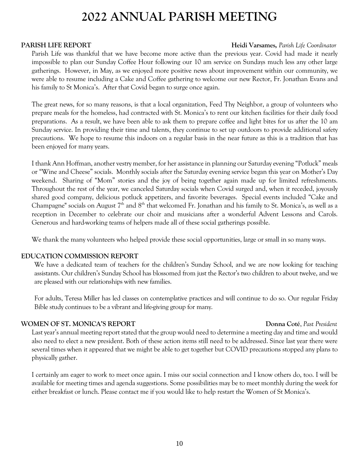# **PARISH LIFE REPORT Heidi Varsames,** *Parish Life Coordinator*

Parish Life was thankful that we have become more active than the previous year. Covid had made it nearly impossible to plan our Sunday Coffee Hour following our 10 am service on Sundays much less any other large gatherings. However, in May, as we enjoyed more positive news about improvement within our community, we were able to resume including a Cake and Coffee gathering to welcome our new Rector, Fr. Jonathan Evans and his family to St Monica's. After that Covid began to surge once again.

The great news, for so many reasons, is that a local organization, Feed Thy Neighbor, a group of volunteers who prepare meals for the homeless, had contracted with St. Monica's to rent our kitchen facilities for their daily food preparations. As a result, we have been able to ask them to prepare coffee and light bites for us after the 10 am Sunday service. In providing their time and talents, they continue to set up outdoors to provide additional safety precautions. We hope to resume this indoors on a regular basis in the near future as this is a tradition that has been enjoyed for many years.

I thank Ann Hoffman, another vestry member, for her assistance in planning our Saturday evening "Potluck" meals or "Wine and Cheese" socials. Monthly socials after the Saturday evening service began this year on Mother's Day weekend. Sharing of "Mom" stories and the joy of being together again made up for limited refreshments. Throughout the rest of the year, we canceled Saturday socials when Covid surged and, when it receded, joyously shared good company, delicious potluck appetizers, and favorite beverages. Special events included "Cake and Champagne" socials on August 7<sup>th</sup> and 8<sup>th</sup> that welcomed Fr. Jonathan and his family to St. Monica's, as well as a reception in December to celebrate our choir and musicians after a wonderful Advent Lessons and Carols. Generous and hard-working teams of helpers made all of these social gatherings possible.

We thank the many volunteers who helped provide these social opportunities, large or small in so many ways.

# **EDUCATION COMMISSION REPORT**

We have a dedicated team of teachers for the children's Sunday School, and we are now looking for teaching assistants. Our children's Sunday School has blossomed from just the Rector's two children to about twelve, and we are pleased with our relationships with new families.

For adults, Teresa Miller has led classes on contemplative practices and will continue to do so. Our regular Friday Bible study continues to be a vibrant and life-giving group for many.

# **WOMEN OF ST. MONICA'S REPORT Donna Coté**, *Past President*

Last year's annual meeting report stated that the group would need to determine a meeting day and time and would also need to elect a new president. Both of these action items still need to be addressed. Since last year there were several times when it appeared that we might be able to get together but COVID precautions stopped any plans to physically gather.

I certainly am eager to work to meet once again. I miss our social connection and I know others do, too. I will be available for meeting times and agenda suggestions. Some possibilities may be to meet monthly during the week for either breakfast or lunch. Please contact me if you would like to help restart the Women of St Monica's.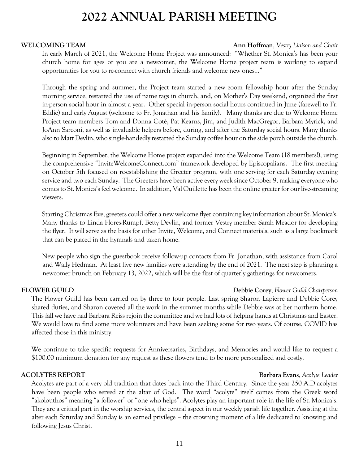**WELCOMING TEAM Ann Hoffman**, *Vestry Liaison and Chair* 

In early March of 2021, the Welcome Home Project was announced: "Whether St. Monica's has been your church home for ages or you are a newcomer, the Welcome Home project team is working to expand opportunities for you to re-connect with church friends and welcome new ones…"

Through the spring and summer, the Project team started a new zoom fellowship hour after the Sunday morning service, restarted the use of name tags in church, and, on Mother's Day weekend, organized the first in-person social hour in almost a year. Other special in-person social hours continued in June (farewell to Fr. Eddie) and early August (welcome to Fr. Jonathan and his family). Many thanks are due to Welcome Home Project team members Tom and Donna Coté, Pat Kearns, Jim, and Judith MacGregor, Barbara Myrick, and JoAnn Sarconi, as well as invaluable helpers before, during, and after the Saturday social hours. Many thanks also to Matt Devlin, who single-handedly restarted the Sunday coffee hour on the side porch outside the church.

Beginning in September, the Welcome Home project expanded into the Welcome Team (18 members!), using the comprehensive "InviteWelcomeConnect.com" framework developed by Episcopalians. The first meeting on October 5th focused on re-establishing the Greeter program, with one serving for each Saturday evening service and two each Sunday. The Greeters have been active every week since October 9, making everyone who comes to St. Monica's feel welcome. In addition, Val Ouillette has been the online greeter for our live-streaming viewers.

Starting Christmas Eve, greeters could offer a new welcome flyer containing key information about St. Monica's. Many thanks to Linda Flores-Rumpf, Betty Devlin, and former Vestry member Sarah Meador for developing the flyer. It will serve as the basis for other Invite, Welcome, and Connect materials, such as a large bookmark that can be placed in the hymnals and taken home.

New people who sign the guestbook receive follow-up contacts from Fr. Jonathan, with assistance from Carol and Wally Hedman. At least five new families were attending by the end of 2021. The next step is planning a newcomer brunch on February 13, 2022, which will be the first of quarterly gatherings for newcomers.

**FLOWER GUILD Debbie Corey**, *Flower Guild Chairperson*

The Flower Guild has been carried on by three to four people. Last spring Sharon Lapierre and Debbie Corey shared duties, and Sharon covered all the work in the summer months while Debbie was at her northern home. This fall we have had Barbara Reiss rejoin the committee and we had lots of helping hands at Christmas and Easter. We would love to find some more volunteers and have been seeking some for two years. Of course, COVID has affected those in this ministry.

We continue to take specific requests for Anniversaries, Birthdays, and Memories and would like to request a \$100.00 minimum donation for any request as these flowers tend to be more personalized and costly.

## **ACOLYTES REPORT Barbara Evans**, *Acolyte Leader*

Acolytes are part of a very old tradition that dates back into the Third Century. Since the year 250 A.D acolytes have been people who served at the altar of God. The word "acolyte" itself comes from the Greek word "akolouthos" meaning "a follower" or "one who helps". Acolytes play an important role in the life of St. Monica's. They are a critical part in the worship services, the central aspect in our weekly parish life together. Assisting at the alter each Saturday and Sunday is an earned privilege – the crowning moment of a life dedicated to knowing and following Jesus Christ.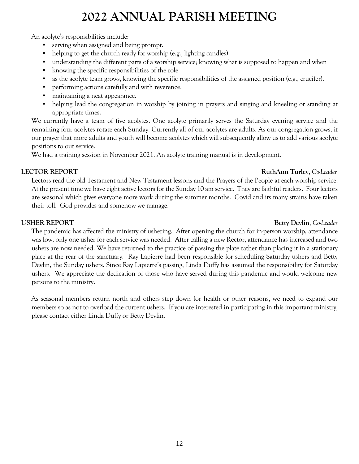An acolyte's responsibilities include:

- serving when assigned and being prompt.
- helping to get the church ready for worship (e.g., lighting candles).
- understanding the different parts of a worship service; knowing what is supposed to happen and when
- knowing the specific responsibilities of the role
- as the acolyte team grows, knowing the specific responsibilities of the assigned position (e.g., crucifer).
- performing actions carefully and with reverence.
- maintaining a neat appearance.
- helping lead the congregation in worship by joining in prayers and singing and kneeling or standing at appropriate times.

We currently have a team of five acolytes. One acolyte primarily serves the Saturday evening service and the remaining four acolytes rotate each Sunday. Currently all of our acolytes are adults. As our congregation grows, it our prayer that more adults and youth will become acolytes which will subsequently allow us to add various acolyte positions to our service.

We had a training session in November 2021. An acolyte training manual is in development.

# **LECTOR REPORT RuthAnn Turley**, *Co-Leader*

Lectors read the old Testament and New Testament lessons and the Prayers of the People at each worship service. At the present time we have eight active lectors for the Sunday 10 am service. They are faithful readers. Four lectors are seasonal which gives everyone more work during the summer months. Covid and its many strains have taken their toll. God provides and somehow we manage.

# **USHER REPORT Betty Devlin**, *Co-Leader*

The pandemic has affected the ministry of ushering. After opening the church for in-person worship, attendance was low, only one usher for each service was needed. After calling a new Rector, attendance has increased and two ushers are now needed. We have returned to the practice of passing the plate rather than placing it in a stationary place at the rear of the sanctuary. Ray Lapierre had been responsible for scheduling Saturday ushers and Betty Devlin, the Sunday ushers. Since Ray Lapierre's passing, Linda Duffy has assumed the responsibility for Saturday ushers. We appreciate the dedication of those who have served during this pandemic and would welcome new persons to the ministry.

As seasonal members return north and others step down for health or other reasons, we need to expand our members so as not to overload the current ushers. If you are interested in participating in this important ministry, please contact either Linda Duffy or Betty Devlin.